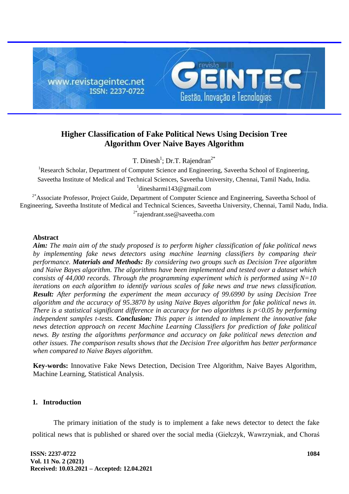

# **Higher Classification of Fake Political News Using Decision Tree Algorithm Over Naive Bayes Algorithm**

T. Dinesh<sup>1</sup>; Dr.T. Rajendran<sup>2\*</sup>

<sup>1</sup>Research Scholar, Department of Computer Science and Engineering, Saveetha School of Engineering, Saveetha Institute of Medical and Technical Sciences, Saveetha University, Chennai, Tamil Nadu, India. <sup>1</sup>[dinesharmi143@gmail.com](mailto:dinesharmi143@gmail.com)

<sup>2\*</sup>Associate Professor, Project Guide, Department of Computer Science and Engineering, Saveetha School of Engineering, Saveetha Institute of Medical and Technical Sciences, Saveetha University, Chennai, Tamil Nadu, India. <sup>2\*</sup>[rajendrant.sse@saveetha.com](mailto:rajendrant.sse@saveetha.com)

### **Abstract**

*Aim: The main aim of the study proposed is to perform higher classification of fake political news by implementing fake news detectors using machine learning classifiers by comparing their performance. Materials and Methods: By considering two groups such as Decision Tree algorithm and Naive Bayes algorithm. The algorithms have been implemented and tested over a dataset which consists of 44,000 records. Through the programming experiment which is performed using N=10 iterations on each algorithm to identify various scales of fake news and true news classification. Result: After performing the experiment the mean accuracy of 99.6990 by using Decision Tree algorithm and the accuracy of 95.3870 by using Naive Bayes algorithm for fake political news in. There is a statistical significant difference in accuracy for two algorithms is p<0.05 by performing independent samples t-tests. Conclusion: This paper is intended to implement the innovative fake news detection approach on recent Machine Learning Classifiers for prediction of fake political news. By testing the algorithms performance and accuracy on fake political news detection and other issues. The comparison results shows that the Decision Tree algorithm has better performance when compared to Naive Bayes algorithm.*

**Key-words:** Innovative Fake News Detection, Decision Tree Algorithm, Naive Bayes Algorithm, Machine Learning, Statistical Analysis.

# **1. Introduction**

The primary initiation of the study is to implement a fake news detector to detect the fake political news that is published or shared over the social media [\(Giełczyk, Wawrzyniak, and Choraś](https://paperpile.com/c/NJjhNX/4FGD)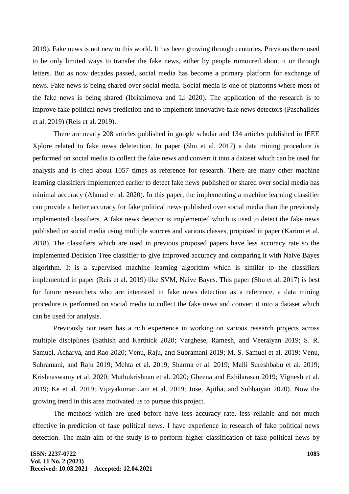[2019\).](https://paperpile.com/c/NJjhNX/4FGD) Fake news is not new to this world. It has been growing through centuries. Previous there used to be only limited ways to transfer the fake news, either by people rumoured about it or through letters. But as now decades passed, social media has become a primary platform for exchange of news. Fake news is being shared over social media. Social media is one of platforms where most of the fake news is being shared [\(Ibrishimova and Li 2020\).](https://paperpile.com/c/NJjhNX/0jhU) The application of the research is to improve fake political news prediction and to implement innovative fake news detectors [\(Paschalides](https://paperpile.com/c/NJjhNX/KAZe)  [et al. 2019\)](https://paperpile.com/c/NJjhNX/KAZe) [\(Reis et al. 2019\).](https://paperpile.com/c/NJjhNX/oVwD)

There are nearly 208 articles published in google scholar and 134 articles published in IEEE Xplore related to fake news deletection. In paper [\(Shu et al. 2017\)](https://paperpile.com/c/NJjhNX/PMFL) a data mining procedure is performed on social media to collect the fake news and convert it into a dataset which can be used for analysis and is cited about 1057 times as reference for research. There are many other machine learning classifiers implemented earlier to detect fake news published or shared over social media has minimal accuracy [\(Ahmad et al. 2020\).](https://paperpile.com/c/NJjhNX/J9wd) In this paper, the implementing a machine learning classifier can provide a better accuracy for fake political news published over social media than the previously implemented classifiers. A fake news detector is implemented which is used to detect the fake news published on social media using multiple sources and various classes, proposed in paper [\(Karimi et al.](https://paperpile.com/c/NJjhNX/wSlV)  [2018\).](https://paperpile.com/c/NJjhNX/wSlV) The classifiers which are used in previous proposed papers have less accuracy rate so the implemented Decision Tree classifier to give improved accuracy and comparing it with Naive Bayes algorithm. It is a supervised machine learning algorithm which is similar to the classifiers implemented in paper [\(Reis et al. 2019\)](https://paperpile.com/c/NJjhNX/oVwD) like SVM, Naive Bayes. This paper [\(Shu et al. 2017\)](https://paperpile.com/c/NJjhNX/PMFL) is best for future researchers who are interested in fake news detection as a reference, a data mining procedure is performed on social media to collect the fake news and convert it into a dataset which can be used for analysis.

Previously our team has a rich experience in working on various research projects across multiple disciplines [\(Sathish and Karthick 2020; Varghese, Ramesh, and Veeraiyan 2019; S. R.](https://paperpile.com/c/NJjhNX/QTA8r+0RPi2+SMbFW+7g219+LAupJ+RzZMg+WG1oQ+QunXv+npTcR+rmyG0+0Hqmu+DjUvO+nMl1r+CelES+4UyRe+22igY)  [Samuel, Acharya, and Rao 2020; Venu, Raju, and Subramani 2019; M. S. Samuel et al. 2019; Venu,](https://paperpile.com/c/NJjhNX/QTA8r+0RPi2+SMbFW+7g219+LAupJ+RzZMg+WG1oQ+QunXv+npTcR+rmyG0+0Hqmu+DjUvO+nMl1r+CelES+4UyRe+22igY)  [Subramani, and Raju 2019; Mehta et al. 2019; Sharma et al. 2019; Malli Sureshbabu et al. 2019;](https://paperpile.com/c/NJjhNX/QTA8r+0RPi2+SMbFW+7g219+LAupJ+RzZMg+WG1oQ+QunXv+npTcR+rmyG0+0Hqmu+DjUvO+nMl1r+CelES+4UyRe+22igY)  [Krishnaswamy et al. 2020; Muthukrishnan et al. 2020; Gheena and Ezhilarasan 2019; Vignesh et al.](https://paperpile.com/c/NJjhNX/QTA8r+0RPi2+SMbFW+7g219+LAupJ+RzZMg+WG1oQ+QunXv+npTcR+rmyG0+0Hqmu+DjUvO+nMl1r+CelES+4UyRe+22igY)  [2019; Ke et al. 2019; Vijayakumar Jain et al. 2019; Jose, Ajitha, and Subbaiyan 2020\).](https://paperpile.com/c/NJjhNX/QTA8r+0RPi2+SMbFW+7g219+LAupJ+RzZMg+WG1oQ+QunXv+npTcR+rmyG0+0Hqmu+DjUvO+nMl1r+CelES+4UyRe+22igY) Now the growing trend in this area motivated us to pursue this project.

The methods which are used before have less accuracy rate, less reliable and not much effective in prediction of fake political news. I have experience in research of fake political news detection. The main aim of the study is to perform higher classification of fake political news by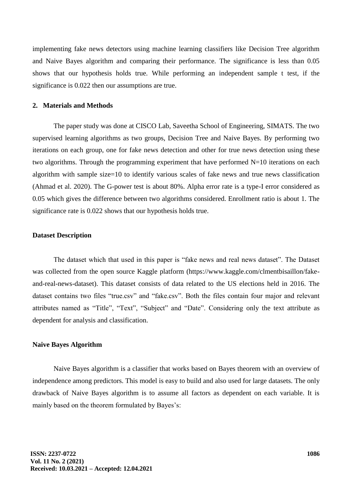implementing fake news detectors using machine learning classifiers like Decision Tree algorithm and Naive Bayes algorithm and comparing their performance. The significance is less than 0.05 shows that our hypothesis holds true. While performing an independent sample t test, if the significance is 0.022 then our assumptions are true.

### **2. Materials and Methods**

The paper study was done at CISCO Lab, Saveetha School of Engineering, SIMATS. The two supervised learning algorithms as two groups, Decision Tree and Naive Bayes. By performing two iterations on each group, one for fake news detection and other for true news detection using these two algorithms. Through the programming experiment that have performed N=10 iterations on each algorithm with sample size=10 to identify various scales of fake news and true news classification [\(Ahmad et al. 2020\).](https://paperpile.com/c/NJjhNX/J9wd) The G-power test is about 80%. Alpha error rate is a type-I error considered as 0.05 which gives the difference between two algorithms considered. Enrollment ratio is about 1. The significance rate is 0.022 shows that our hypothesis holds true.

#### **Dataset Description**

The dataset which that used in this paper is "fake news and real news dataset". The Dataset was collected from the open source Kaggle platform (https://www.kaggle.com/clmentbisaillon/fakeand-real-news-dataset). This dataset consists of data related to the US elections held in 2016. The dataset contains two files "true.csv" and "fake.csv". Both the files contain four major and relevant attributes named as "Title", "Text", "Subject" and "Date". Considering only the text attribute as dependent for analysis and classification.

#### **Naive Bayes Algorithm**

Naive Bayes algorithm is a classifier that works based on Bayes theorem with an overview of independence among predictors. This model is easy to build and also used for large datasets. The only drawback of Naive Bayes algorithm is to assume all factors as dependent on each variable. It is mainly based on the theorem formulated by Bayes's: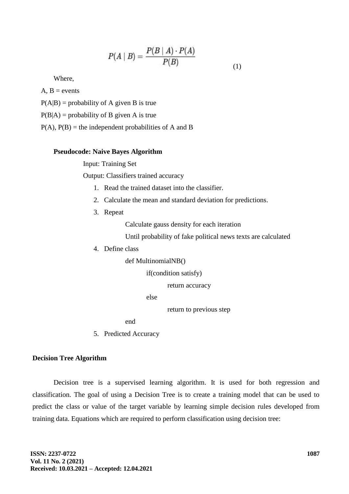$$
P(A \mid B) = \frac{P(B \mid A) \cdot P(A)}{P(B)} \tag{1}
$$

Where,

 $A, B$  = events

 $P(A|B)$  = probability of A given B is true

 $P(B|A)$  = probability of B given A is true

 $P(A)$ ,  $P(B)$  = the independent probabilities of A and B

## **Pseudocode: Naive Bayes Algorithm**

Input: Training Set

Output: Classifiers trained accuracy

- 1. Read the trained dataset into the classifier.
- 2. Calculate the mean and standard deviation for predictions.
- 3. Repeat

Calculate gauss density for each iteration

Until probability of fake political news texts are calculated

4. Define class

def MultinomialNB()

if(condition satisfy)

return accuracy

else

return to previous step

end

5. Predicted Accuracy

# **Decision Tree Algorithm**

Decision tree is a supervised learning algorithm. It is used for both regression and classification. The goal of using a Decision Tree is to create a training model that can be used to predict the class or value of the target variable by learning simple decision rules developed from training data. Equations which are required to perform classification using decision tree: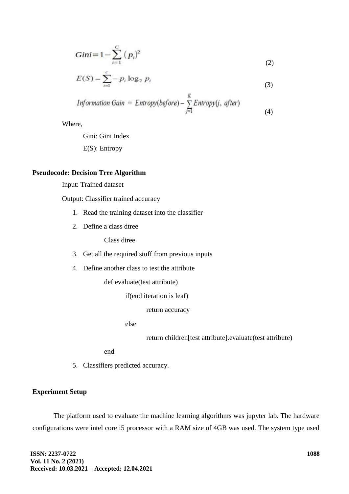$$
Gini = 1 - \sum_{i=1}^{C} (p_i)^2
$$
 (2)

$$
E(S) = \sum_{i=1}^{c} -p_i \log_2 p_i \tag{3}
$$

*Information Gain* = *Entropy(before*) - 
$$
\sum_{j=1}^{K} Entropy(j, after)
$$
 (4)

Where,

Gini: Gini Index E(S): Entropy

# **Pseudocode: Decision Tree Algorithm**

Input: Trained dataset

Output: Classifier trained accuracy

- 1. Read the training dataset into the classifier
- 2. Define a class dtree

Class dtree

- 3. Get all the required stuff from previous inputs
- 4. Define another class to test the attribute

def evaluate(test attribute)

if(end iteration is leaf)

return accuracy

else

return children[test attribute].evaluate(test attribute)

end

5. Classifiers predicted accuracy.

# **Experiment Setup**

The platform used to evaluate the machine learning algorithms was jupyter lab. The hardware configurations were intel core i5 processor with a RAM size of 4GB was used. The system type used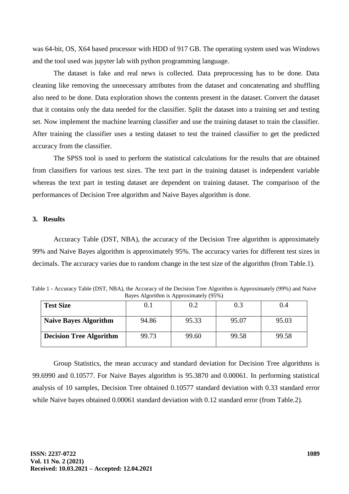was 64-bit, OS, X64 based processor with HDD of 917 GB. The operating system used was Windows and the tool used was jupyter lab with python programming language.

The dataset is fake and real news is collected. Data preprocessing has to be done. Data cleaning like removing the unnecessary attributes from the dataset and concatenating and shuffling also need to be done. Data exploration shows the contents present in the dataset. Convert the dataset that it contains only the data needed for the classifier. Split the dataset into a training set and testing set. Now implement the machine learning classifier and use the training dataset to train the classifier. After training the classifier uses a testing dataset to test the trained classifier to get the predicted accuracy from the classifier.

The SPSS tool is used to perform the statistical calculations for the results that are obtained from classifiers for various test sizes. The text part in the training dataset is independent variable whereas the text part in testing dataset are dependent on training dataset. The comparison of the performances of Decision Tree algorithm and Naive Bayes algorithm is done.

#### **3. Results**

Accuracy Table (DST, NBA), the accuracy of the Decision Tree algorithm is approximately 99% and Naive Bayes algorithm is approximately 95%. The accuracy varies for different test sizes in decimals. The accuracy varies due to random change in the test size of the algorithm (from Table.1).

Table 1 **-** Accuracy Table (DST, NBA), the Accuracy of the Decision Tree Algorithm is Approximately (99%) and Naive Bayes Algorithm is Approximately (95%)

| <b>Test Size</b>               | 0.1   | 0.2   | 0.3   | 0.4   |
|--------------------------------|-------|-------|-------|-------|
| <b>Naive Bayes Algorithm</b>   | 94.86 | 95.33 | 95.07 | 95.03 |
| <b>Decision Tree Algorithm</b> | 99.73 | 99.60 | 99.58 | 99.58 |

Group Statistics, the mean accuracy and standard deviation for Decision Tree algorithms is 99.6990 and 0.10577. For Naive Bayes algorithm is 95.3870 and 0.00061. In performing statistical analysis of 10 samples, Decision Tree obtained 0.10577 standard deviation with 0.33 standard error while Naive bayes obtained 0.00061 standard deviation with 0.12 standard error (from Table.2).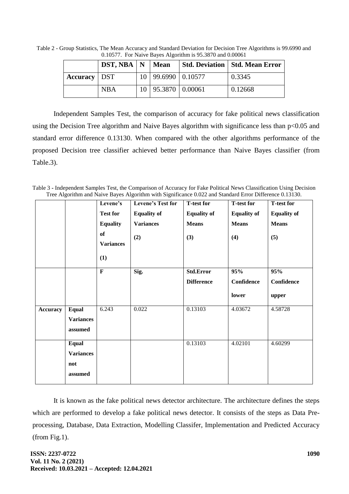Table 2 - Group Statistics, The Mean Accuracy and Standard Deviation for Decision Tree Algorithms is 99.6990 and 0.10577. For Naive Bayes Algorithm is 95.3870 and 0.00061

|                       | $DST, NBA \mid N \mid Mean$ |                          | <b>Std. Deviation   Std. Mean Error</b> |
|-----------------------|-----------------------------|--------------------------|-----------------------------------------|
| <b>Accuracy</b>   DST |                             | 10   99.6990   0.10577   | 0.3345                                  |
|                       | <b>NBA</b>                  | $10$   95.3870   0.00061 | 0.12668                                 |

Independent Samples Test, the comparison of accuracy for fake political news classification using the Decision Tree algorithm and Naive Bayes algorithm with significance less than p<0.05 and standard error difference 0.13130. When compared with the other algorithms performance of the proposed Decision tree classifier achieved better performance than Naive Bayes classifier (from Table.3).

Table 3 **-** Independent Samples Test, the Comparison of Accuracy for Fake Political News Classification Using Decision Tree Algorithm and Naive Bayes Algorithm with Significance 0.022 and Standard Error Difference 0.13130.

|                 |                  | Levene's         | Levene's Test for  | <b>T-test for</b>  | <b>T-test for</b>  | <b>T-test for</b>  |
|-----------------|------------------|------------------|--------------------|--------------------|--------------------|--------------------|
|                 |                  | <b>Test for</b>  | <b>Equality of</b> | <b>Equality of</b> | <b>Equality of</b> | <b>Equality of</b> |
|                 |                  | <b>Equality</b>  | <b>Variances</b>   | <b>Means</b>       | <b>Means</b>       | <b>Means</b>       |
|                 |                  | of               | (2)                | (3)                | (4)                | (5)                |
|                 |                  | <b>Variances</b> |                    |                    |                    |                    |
|                 |                  | (1)              |                    |                    |                    |                    |
|                 |                  | $\mathbf F$      | Sig.               | <b>Std.Error</b>   | 95%                | 95%                |
|                 |                  |                  |                    | <b>Difference</b>  | Confidence         | Confidence         |
|                 |                  |                  |                    |                    | lower              | upper              |
| <b>Accuracy</b> | <b>Equal</b>     | 6.243            | 0.022              | 0.13103            | 4.03672            | 4.58728            |
|                 | <b>Variances</b> |                  |                    |                    |                    |                    |
|                 | assumed          |                  |                    |                    |                    |                    |
|                 | <b>Equal</b>     |                  |                    | 0.13103            | 4.02101            | 4.60299            |
|                 | <b>Variances</b> |                  |                    |                    |                    |                    |
|                 | not              |                  |                    |                    |                    |                    |
|                 | assumed          |                  |                    |                    |                    |                    |

It is known as the fake political news detector architecture. The architecture defines the steps which are performed to develop a fake political news detector. It consists of the steps as Data Preprocessing, Database, Data Extraction, Modelling Classifer, Implementation and Predicted Accuracy (from Fig.1).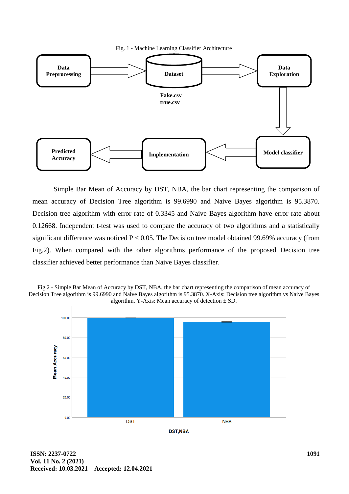Fig. 1 - Machine Learning Classifier Architecture



Simple Bar Mean of Accuracy by DST, NBA, the bar chart representing the comparison of mean accuracy of Decision Tree algorithm is 99.6990 and Naive Bayes algorithm is 95.3870. Decision tree algorithm with error rate of 0.3345 and Naive Bayes algorithm have error rate about 0.12668. Independent t-test was used to compare the accuracy of two algorithms and a statistically significant difference was noticed  $P < 0.05$ . The Decision tree model obtained 99.69% accuracy (from Fig.2). When compared with the other algorithms performance of the proposed Decision tree classifier achieved better performance than Naive Bayes classifier.



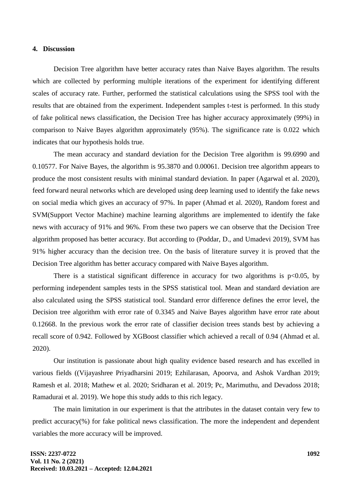# **4. Discussion**

Decision Tree algorithm have better accuracy rates than Naive Bayes algorithm. The results which are collected by performing multiple iterations of the experiment for identifying different scales of accuracy rate. Further, performed the statistical calculations using the SPSS tool with the results that are obtained from the experiment. Independent samples t-test is performed. In this study of fake political news classification, the Decision Tree has higher accuracy approximately (99%) in comparison to Naive Bayes algorithm approximately (95%). The significance rate is 0.022 which indicates that our hypothesis holds true.

The mean accuracy and standard deviation for the Decision Tree algorithm is 99.6990 and 0.10577. For Naive Bayes, the algorithm is 95.3870 and 0.00061. Decision tree algorithm appears to produce the most consistent results with minimal standard deviation. In paper [\(Agarwal et al. 2020\),](https://paperpile.com/c/NJjhNX/iOUh) feed forward neural networks which are developed using deep learning used to identify the fake news on social media which gives an accuracy of 97%. In paper [\(Ahmad et al. 2020\),](https://paperpile.com/c/NJjhNX/J9wd) Random forest and SVM(Support Vector Machine) machine learning algorithms are implemented to identify the fake news with accuracy of 91% and 96%. From these two papers we can observe that the Decision Tree algorithm proposed has better accuracy. But according to [\(Poddar, D., and Umadevi 2019\),](https://paperpile.com/c/NJjhNX/EY2X) SVM has 91% higher accuracy than the decision tree. On the basis of literature survey it is proved that the Decision Tree algorithm has better accuracy compared with Naive Bayes algorithm.

There is a statistical significant difference in accuracy for two algorithms is  $p<0.05$ , by performing independent samples tests in the SPSS statistical tool. Mean and standard deviation are also calculated using the SPSS statistical tool. Standard error difference defines the error level, the Decision tree algorithm with error rate of 0.3345 and Naive Bayes algorithm have error rate about 0.12668. In the previous work the error rate of classifier decision trees stands best by achieving a recall score of 0.942. Followed by XGBoost classifier which achieved a recall of 0.94 [\(Ahmad et al.](https://paperpile.com/c/NJjhNX/J9wd)  [2020\).](https://paperpile.com/c/NJjhNX/J9wd)

Our institution is passionate about high quality evidence based research and has excelled in various fields [\(\(Vijayashree Priyadharsini 2019; Ezhilarasan, Apoorva, and Ashok Vardhan 2019;](https://paperpile.com/c/NJjhNX/QDCSN+thPy6+fzdvx+vfOmL+fSpMv+Pdesb+kkHQg)  [Ramesh et al. 2018; Mathew et al. 2020; Sridharan et al. 2019; Pc, Marimuthu, and Devadoss 2018;](https://paperpile.com/c/NJjhNX/QDCSN+thPy6+fzdvx+vfOmL+fSpMv+Pdesb+kkHQg)  [Ramadurai et al. 2019\).](https://paperpile.com/c/NJjhNX/QDCSN+thPy6+fzdvx+vfOmL+fSpMv+Pdesb+kkHQg) We hope this study adds to this rich legacy.

The main limitation in our experiment is that the attributes in the dataset contain very few to predict accuracy(%) for fake political news classification. The more the independent and dependent variables the more accuracy will be improved.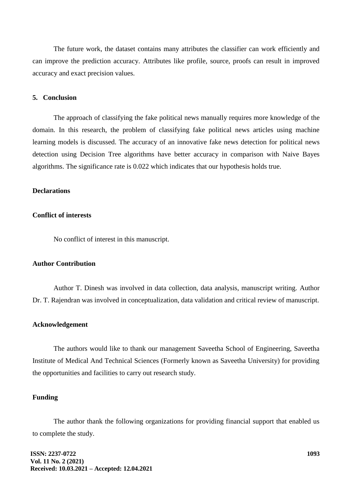The future work, the dataset contains many attributes the classifier can work efficiently and can improve the prediction accuracy. Attributes like profile, source, proofs can result in improved accuracy and exact precision values.

#### **5. Conclusion**

The approach of classifying the fake political news manually requires more knowledge of the domain. In this research, the problem of classifying fake political news articles using machine learning models is discussed. The accuracy of an innovative fake news detection for political news detection using Decision Tree algorithms have better accuracy in comparison with Naive Bayes algorithms. The significance rate is 0.022 which indicates that our hypothesis holds true.

# **Declarations**

# **Conflict of interests**

No conflict of interest in this manuscript.

#### **Author Contribution**

Author T. Dinesh was involved in data collection, data analysis, manuscript writing. Author Dr. T. Rajendran was involved in conceptualization, data validation and critical review of manuscript.

#### **Acknowledgement**

The authors would like to thank our management Saveetha School of Engineering, Saveetha Institute of Medical And Technical Sciences (Formerly known as Saveetha University) for providing the opportunities and facilities to carry out research study.

#### **Funding**

The author thank the following organizations for providing financial support that enabled us to complete the study.

**ISSN: 2237-0722 Vol. 11 No. 2 (2021) Received: 10.03.2021 – Accepted: 12.04.2021**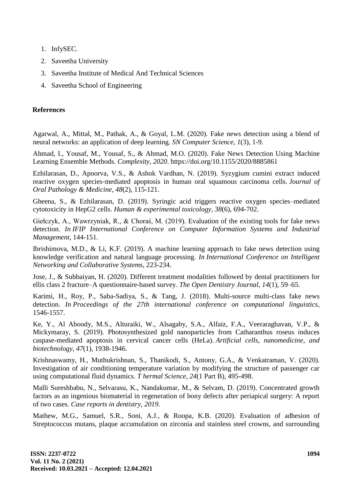- 1. InfySEC.
- 2. Saveetha University
- 3. Saveetha Institute of Medical And Technical Sciences
- 4. Saveetha School of Engineering

# **References**

Agarwal, A., Mittal, M., Pathak, A., & Goyal, L.M. (2020). Fake news detection using a blend of neural networks: an application of deep learning. *SN Computer Science*, *1*(3), 1-9.

Ahmad, I., Yousaf, M., Yousaf, S., & Ahmad, M.O. (2020). Fake News Detection Using Machine Learning Ensemble Methods. *Complexity*, *2020*. https://doi.org/10.1155/2020/8885861

Ezhilarasan, D., Apoorva, V.S., & Ashok Vardhan, N. (2019). Syzygium cumini extract induced reactive oxygen species‐mediated apoptosis in human oral squamous carcinoma cells. *Journal of Oral Pathology & Medicine*, *48*(2), 115-121.

Gheena, S., & Ezhilarasan, D. (2019). Syringic acid triggers reactive oxygen species–mediated cytotoxicity in HepG2 cells. *Human & experimental toxicology*, *38*(6), 694-702.

Giełczyk, A., Wawrzyniak, R., & Choraś, M. (2019). Evaluation of the existing tools for fake news detection. *In IFIP International Conference on Computer Information Systems and Industrial Management*, 144-151.

Ibrishimova, M.D., & Li, K.F. (2019). A machine learning approach to fake news detection using knowledge verification and natural language processing. *In International Conference on Intelligent Networking and Collaborative Systems*, 223-234.

Jose, J., & Subbaiyan, H. (2020). Different treatment modalities followed by dental practitioners for ellis class 2 fracture–A questionnaire-based survey. *The Open Dentistry Journal*, *14*[\(1\), 59–65.](http://paperpile.com/b/NJjhNX/22igY)

Karimi, H., Roy, P., Saba-Sadiya, S., & Tang, J. (2018). Multi-source multi-class fake news detection. *In Proceedings of the 27th international conference on computational linguistics*, 1546-1557.

Ke, Y., Al Aboody, M.S., Alturaiki, W., Alsagaby, S.A., Alfaiz, F.A., Veeraraghavan, V.P., & Mickymaray, S. (2019). Photosynthesized gold nanoparticles from Catharanthus roseus induces caspase-mediated apoptosis in cervical cancer cells (HeLa). *Artificial cells, nanomedicine, and biotechnology*, *47*(1), 1938-1946.

Krishnaswamy, H., Muthukrishnan, S., Thanikodi, S., Antony, G.A., & Venkatraman, V. (2020). Investigation of air conditioning temperature variation by modifying the structure of passenger car using computational fluid dynamics. *T hermal Science*, *24*(1 Part B), 495-498.

Malli Sureshbabu, N., Selvarasu, K., Nandakumar, M., & Selvam, D. (2019). Concentrated growth factors as an ingenious biomaterial in regeneration of bony defects after periapical surgery: A report of two cases. *Case reports in dentistry*, *2019*.

Mathew, M.G., Samuel, S.R., Soni, A.J., & Roopa, K.B. (2020). Evaluation of adhesion of Streptococcus mutans, plaque accumulation on zirconia and stainless steel crowns, and surrounding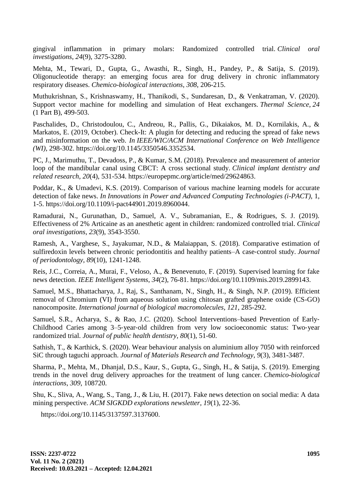gingival inflammation in primary molars: Randomized controlled trial. *Clinical oral investigations*, *24*(9), 3275-328[0.](http://paperpile.com/b/NJjhNX/vfOmL)

Mehta, M., Tewari, D., Gupta, G., Awasthi, R., Singh, H., Pandey, P., & Satija, S. (2019). Oligonucleotide therapy: an emerging focus area for drug delivery in chronic inflammatory respiratory diseases. *Chemico-biological interactions*, *308*, 206-215.

Muthukrishnan, S., Krishnaswamy, H., Thanikodi, S., Sundaresan, D., & Venkatraman, V. (2020). Support vector machine for modelling and simulation of Heat exchangers. *Thermal Science*, *24*  (1 Part B), 499-503.

Paschalides, D., Christodoulou, C., Andreou, R., Pallis, G., Dikaiakos, M. D., Kornilakis, A., & Markatos, E. (2019, October). Check-It: A plugin for detecting and reducing the spread of fake news and misinformation on the web. *In IEEE/WIC/ACM International Conference on Web Intelligence (WI)*, 298-302. [https://doi.org/10.1145/3350546.3352534](https://doi.org/)[.](http://paperpile.com/b/NJjhNX/KAZe)

PC, J., Marimuthu, T., Devadoss, P., & Kumar, S.M. (2018). Prevalence and measurement of anterior loop of the mandibular canal using CBCT: A cross sectional study. *Clinical implant dentistry and related research*, *20*(4), 531-53[4. https://europepmc.org/article/med/29624863.](http://paperpile.com/b/NJjhNX/Pdesb)

Poddar, K., & Umadevi, K.S. (2019). Comparison of various machine learning models for accurate detection of fake news. *In Innovations in Power and Advanced Computing Technologies (i-PACT)*, 1, 1-5. [https://doi.org/10.1109/i-pact44901.2019.8960044](https://doi.org/)[.](http://paperpile.com/b/NJjhNX/EY2X)

Ramadurai, N., Gurunathan, D., Samuel, A. V., Subramanian, E., & Rodrigues, S. J. (2019). Effectiveness of 2% Articaine as an anesthetic agent in children: randomized controlled trial. *Clinical oral investigations*, *23*(9), 3543-3550.

Ramesh, A., Varghese, S., Jayakumar, N.D., & Malaiappan, S. (2018). Comparative estimation of sulfiredoxin levels between chronic periodontitis and healthy patients–A case‐control study. *Journal of periodontology*, *89*(10), 1241-1248.

Reis, J.C., Correia, A., Murai, F., Veloso, A., & Benevenuto, F. (2019). Supervised learning for fake news detection. *IEEE Intelligent Systems*, *34*(2), 76-8[1. https://doi.org/10.1109/mis.2019.2899143.](http://paperpile.com/b/NJjhNX/oVwD)

Samuel, M.S., Bhattacharya, J., Raj, S., Santhanam, N., Singh, H., & Singh, N.P. (2019). Efficient removal of Chromium (VI) from aqueous solution using chitosan grafted graphene oxide (CS-GO) nanocomposite. *International journal of biological macromolecules*, *121*, 285-292.

Samuel, S.R., Acharya, S., & Rao, J.C. (2020). School Interventions–based Prevention of Early‐ Childhood Caries among 3–5‐year‐old children from very low socioeconomic status: Two‐year randomized trial. *Journal of public health dentistry*, *80*(1), 51-60.

Sathish, T., & Karthick, S. (2020). Wear behaviour analysis on aluminium alloy 7050 with reinforced SiC through taguchi approach. *Journal of Materials Research and Technology*, *9*(3), 3481-3487.

Sharma, P., Mehta, M., Dhanjal, D.S., Kaur, S., Gupta, G., Singh, H., & Satija, S. (2019). Emerging trends in the novel drug delivery approaches for the treatment of lung cancer. *Chemico-biological interactions*, *309*, 108720.

Shu, K., Sliva, A., Wang, S., Tang, J., & Liu, H. (2017). Fake news detection on social media: A data mining perspective. *ACM SIGKDD explorations newsletter, 19*(1), 22-36.

https://doi.org/10.1145/3137597.313760[0.](http://paperpile.com/b/NJjhNX/PMFL)